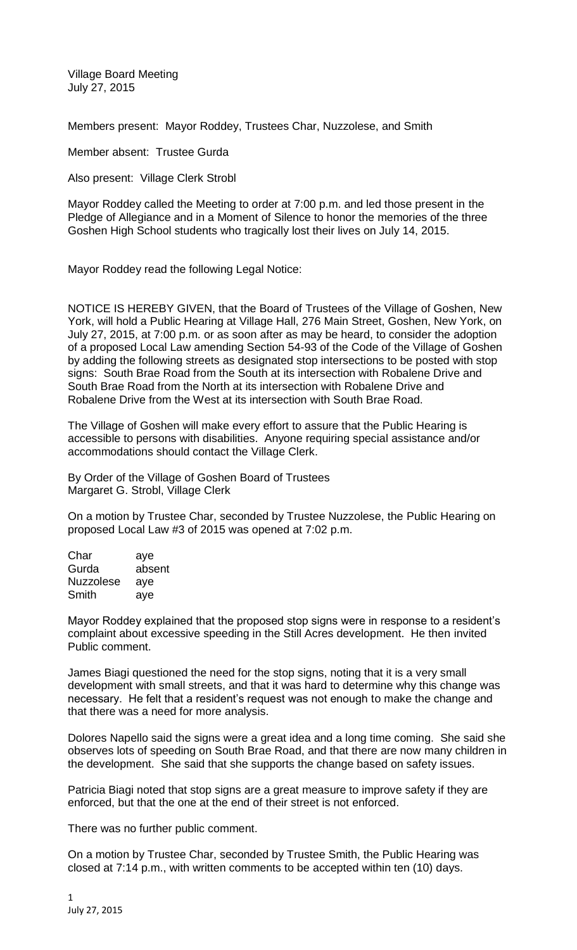Village Board Meeting July 27, 2015

Members present: Mayor Roddey, Trustees Char, Nuzzolese, and Smith

Member absent: Trustee Gurda

Also present: Village Clerk Strobl

Mayor Roddey called the Meeting to order at 7:00 p.m. and led those present in the Pledge of Allegiance and in a Moment of Silence to honor the memories of the three Goshen High School students who tragically lost their lives on July 14, 2015.

Mayor Roddey read the following Legal Notice:

NOTICE IS HEREBY GIVEN, that the Board of Trustees of the Village of Goshen, New York, will hold a Public Hearing at Village Hall, 276 Main Street, Goshen, New York, on July 27, 2015, at 7:00 p.m. or as soon after as may be heard, to consider the adoption of a proposed Local Law amending Section 54-93 of the Code of the Village of Goshen by adding the following streets as designated stop intersections to be posted with stop signs: South Brae Road from the South at its intersection with Robalene Drive and South Brae Road from the North at its intersection with Robalene Drive and Robalene Drive from the West at its intersection with South Brae Road.

The Village of Goshen will make every effort to assure that the Public Hearing is accessible to persons with disabilities. Anyone requiring special assistance and/or accommodations should contact the Village Clerk.

By Order of the Village of Goshen Board of Trustees Margaret G. Strobl, Village Clerk

On a motion by Trustee Char, seconded by Trustee Nuzzolese, the Public Hearing on proposed Local Law #3 of 2015 was opened at 7:02 p.m.

| Char             | aye    |
|------------------|--------|
| Gurda            | absent |
| <b>Nuzzolese</b> | aye    |
| Smith            | ave    |

Mayor Roddey explained that the proposed stop signs were in response to a resident's complaint about excessive speeding in the Still Acres development. He then invited Public comment.

James Biagi questioned the need for the stop signs, noting that it is a very small development with small streets, and that it was hard to determine why this change was necessary. He felt that a resident's request was not enough to make the change and that there was a need for more analysis.

Dolores Napello said the signs were a great idea and a long time coming. She said she observes lots of speeding on South Brae Road, and that there are now many children in the development. She said that she supports the change based on safety issues.

Patricia Biagi noted that stop signs are a great measure to improve safety if they are enforced, but that the one at the end of their street is not enforced.

There was no further public comment.

On a motion by Trustee Char, seconded by Trustee Smith, the Public Hearing was closed at 7:14 p.m., with written comments to be accepted within ten (10) days.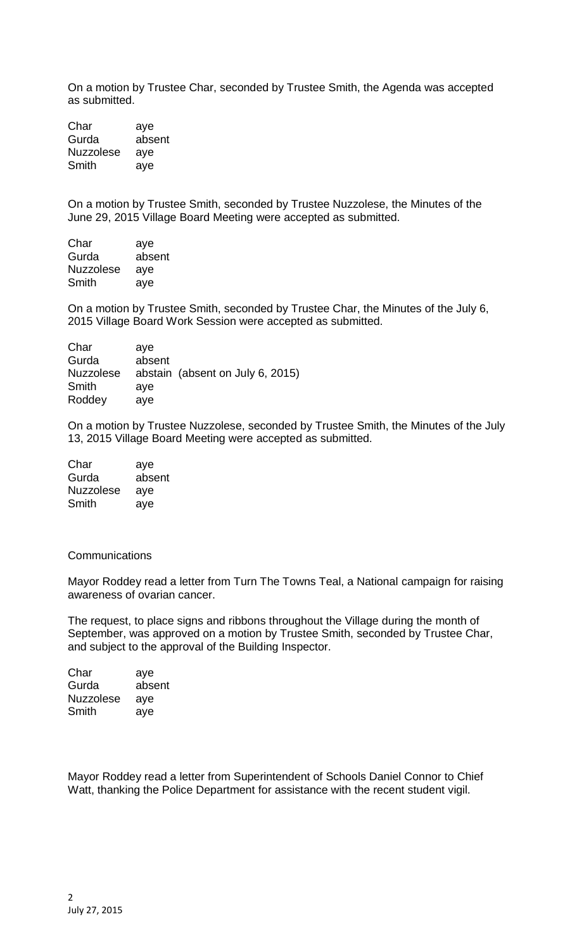On a motion by Trustee Char, seconded by Trustee Smith, the Agenda was accepted as submitted.

Char aye Gurda absent Nuzzolese aye Smith aye

On a motion by Trustee Smith, seconded by Trustee Nuzzolese, the Minutes of the June 29, 2015 Village Board Meeting were accepted as submitted.

Char aye Gurda absent Nuzzolese aye Smith aye

On a motion by Trustee Smith, seconded by Trustee Char, the Minutes of the July 6, 2015 Village Board Work Session were accepted as submitted.

| Char             | ave    |                                  |
|------------------|--------|----------------------------------|
| Gurda            | absent |                                  |
| <b>Nuzzolese</b> |        | abstain (absent on July 6, 2015) |
| Smith            | ave    |                                  |
| Roddey           | ave    |                                  |

On a motion by Trustee Nuzzolese, seconded by Trustee Smith, the Minutes of the July 13, 2015 Village Board Meeting were accepted as submitted.

| Char             | aye    |
|------------------|--------|
| Gurda            | absent |
| <b>Nuzzolese</b> | aye    |
| Smith            | aye    |

## **Communications**

Mayor Roddey read a letter from Turn The Towns Teal, a National campaign for raising awareness of ovarian cancer.

The request, to place signs and ribbons throughout the Village during the month of September, was approved on a motion by Trustee Smith, seconded by Trustee Char, and subject to the approval of the Building Inspector.

| Char             | aye    |
|------------------|--------|
| Gurda            | absent |
| <b>Nuzzolese</b> | aye    |
| Smith            | aye    |

Mayor Roddey read a letter from Superintendent of Schools Daniel Connor to Chief Watt, thanking the Police Department for assistance with the recent student vigil.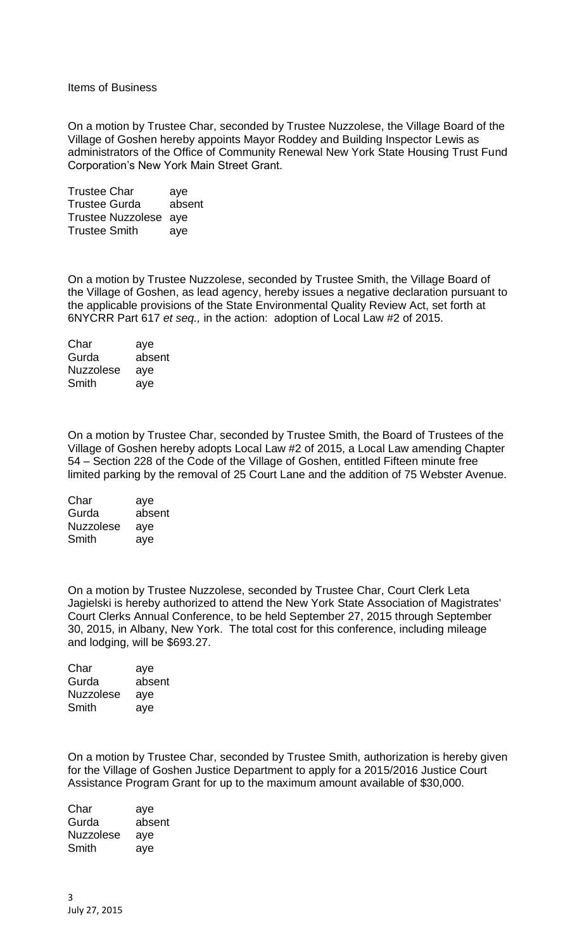Items of Business

On a motion by Trustee Char, seconded by Trustee Nuzzolese, the Village Board of the Village of Goshen hereby appoints Mayor Roddey and Building Inspector Lewis as administrators of the Office of Community Renewal New York State Housing Trust Fund Corporation's New York Main Street Grant.

Trustee Char aye Trustee Gurda absent Trustee Nuzzolese aye Trustee Smith aye

On a motion by Trustee Nuzzolese, seconded by Trustee Smith, the Village Board of the Village of Goshen, as lead agency, hereby issues a negative declaration pursuant to the applicable provisions of the State Environmental Quality Review Act, set forth at 6NYCRR Part 617 *et seq.,* in the action: adoption of Local Law #2 of 2015.

Char aye Gurda absent Nuzzolese aye Smith aye

On a motion by Trustee Char, seconded by Trustee Smith, the Board of Trustees of the Village of Goshen hereby adopts Local Law #2 of 2015, a Local Law amending Chapter 54 – Section 228 of the Code of the Village of Goshen, entitled Fifteen minute free limited parking by the removal of 25 Court Lane and the addition of 75 Webster Avenue.

Char aye Gurda absent Nuzzolese aye Smith aye

On a motion by Trustee Nuzzolese, seconded by Trustee Char, Court Clerk Leta Jagielski is hereby authorized to attend the New York State Association of Magistrates' Court Clerks Annual Conference, to be held September 27, 2015 through September 30, 2015, in Albany, New York. The total cost for this conference, including mileage and lodging, will be \$693.27.

| Char      | aye    |
|-----------|--------|
| Gurda     | absent |
| Nuzzolese | aye    |
| Smith     | ave    |

On a motion by Trustee Char, seconded by Trustee Smith, authorization is hereby given for the Village of Goshen Justice Department to apply for a 2015/2016 Justice Court Assistance Program Grant for up to the maximum amount available of \$30,000.

Char aye Gurda absent Nuzzolese aye Smith aye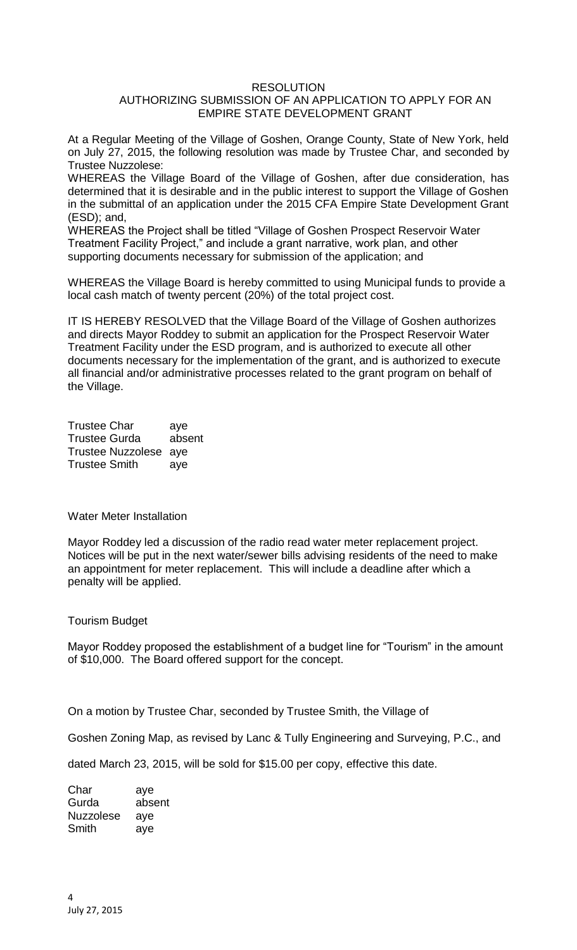## **RESOLUTION** AUTHORIZING SUBMISSION OF AN APPLICATION TO APPLY FOR AN EMPIRE STATE DEVELOPMENT GRANT

At a Regular Meeting of the Village of Goshen, Orange County, State of New York, held on July 27, 2015, the following resolution was made by Trustee Char, and seconded by Trustee Nuzzolese:

WHEREAS the Village Board of the Village of Goshen, after due consideration, has determined that it is desirable and in the public interest to support the Village of Goshen in the submittal of an application under the 2015 CFA Empire State Development Grant (ESD); and,

WHEREAS the Project shall be titled "Village of Goshen Prospect Reservoir Water Treatment Facility Project," and include a grant narrative, work plan, and other supporting documents necessary for submission of the application; and

WHEREAS the Village Board is hereby committed to using Municipal funds to provide a local cash match of twenty percent (20%) of the total project cost.

IT IS HEREBY RESOLVED that the Village Board of the Village of Goshen authorizes and directs Mayor Roddey to submit an application for the Prospect Reservoir Water Treatment Facility under the ESD program, and is authorized to execute all other documents necessary for the implementation of the grant, and is authorized to execute all financial and/or administrative processes related to the grant program on behalf of the Village.

Trustee Char aye Trustee Gurda absent Trustee Nuzzolese aye Trustee Smith aye

Water Meter Installation

Mayor Roddey led a discussion of the radio read water meter replacement project. Notices will be put in the next water/sewer bills advising residents of the need to make an appointment for meter replacement. This will include a deadline after which a penalty will be applied.

## Tourism Budget

Mayor Roddey proposed the establishment of a budget line for "Tourism" in the amount of \$10,000. The Board offered support for the concept.

On a motion by Trustee Char, seconded by Trustee Smith, the Village of

Goshen Zoning Map, as revised by Lanc & Tully Engineering and Surveying, P.C., and

dated March 23, 2015, will be sold for \$15.00 per copy, effective this date.

Char aye Gurda absent Nuzzolese aye Smith aye